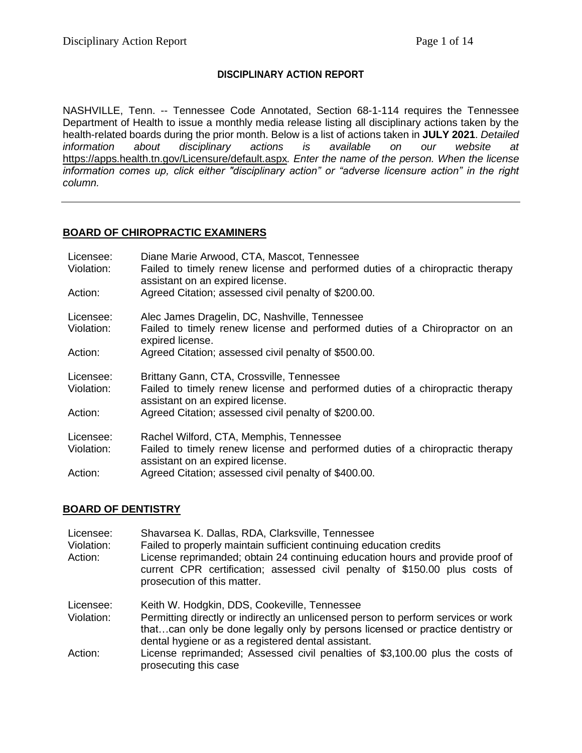## **DISCIPLINARY ACTION REPORT**

NASHVILLE, Tenn. -- Tennessee Code Annotated, Section 68-1-114 requires the Tennessee Department of Health to issue a monthly media release listing all disciplinary actions taken by the health-related boards during the prior month. Below is a list of actions taken in **JULY 2021**. *Detailed information about disciplinary actions is available on our website at*  <https://apps.health.tn.gov/Licensure/default.aspx>*. Enter the name of the person. When the license information comes up, click either "disciplinary action" or "adverse licensure action" in the right column.*

### **BOARD OF CHIROPRACTIC EXAMINERS**

| Licensee:<br>Violation: | Diane Marie Arwood, CTA, Mascot, Tennessee<br>Failed to timely renew license and performed duties of a chiropractic therapy<br>assistant on an expired license. |
|-------------------------|-----------------------------------------------------------------------------------------------------------------------------------------------------------------|
| Action:                 | Agreed Citation; assessed civil penalty of \$200.00.                                                                                                            |
| Licensee:<br>Violation: | Alec James Dragelin, DC, Nashville, Tennessee<br>Failed to timely renew license and performed duties of a Chiropractor on an<br>expired license.                |
| Action:                 | Agreed Citation; assessed civil penalty of \$500.00.                                                                                                            |
| Licensee:<br>Violation: | Brittany Gann, CTA, Crossville, Tennessee<br>Failed to timely renew license and performed duties of a chiropractic therapy<br>assistant on an expired license.  |
| Action:                 | Agreed Citation; assessed civil penalty of \$200.00.                                                                                                            |
| Licensee:               | Rachel Wilford, CTA, Memphis, Tennessee                                                                                                                         |
| Violation:              | Failed to timely renew license and performed duties of a chiropractic therapy<br>assistant on an expired license.                                               |
| Action:                 | Agreed Citation; assessed civil penalty of \$400.00.                                                                                                            |

#### **BOARD OF DENTISTRY**

| Licensee:<br>Violation:<br>Action: | Shavarsea K. Dallas, RDA, Clarksville, Tennessee<br>Failed to properly maintain sufficient continuing education credits<br>License reprimanded; obtain 24 continuing education hours and provide proof of<br>current CPR certification; assessed civil penalty of \$150.00 plus costs of<br>prosecution of this matter. |
|------------------------------------|-------------------------------------------------------------------------------------------------------------------------------------------------------------------------------------------------------------------------------------------------------------------------------------------------------------------------|
| Licensee:<br>Violation:            | Keith W. Hodgkin, DDS, Cookeville, Tennessee<br>Permitting directly or indirectly an unlicensed person to perform services or work<br>thatcan only be done legally only by persons licensed or practice dentistry or                                                                                                    |
| Action:                            | dental hygiene or as a registered dental assistant.<br>License reprimanded; Assessed civil penalties of \$3,100.00 plus the costs of<br>prosecuting this case                                                                                                                                                           |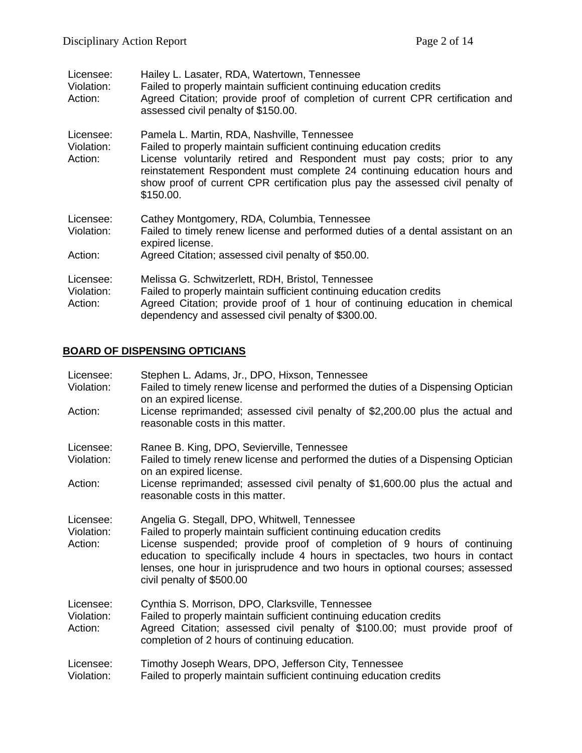| Hailey L. Lasater, RDA, Watertown, Tennessee<br>Failed to properly maintain sufficient continuing education credits<br>Agreed Citation; provide proof of completion of current CPR certification and<br>assessed civil penalty of \$150.00.                                                                                                                              |
|--------------------------------------------------------------------------------------------------------------------------------------------------------------------------------------------------------------------------------------------------------------------------------------------------------------------------------------------------------------------------|
| Pamela L. Martin, RDA, Nashville, Tennessee<br>Failed to properly maintain sufficient continuing education credits<br>License voluntarily retired and Respondent must pay costs; prior to any<br>reinstatement Respondent must complete 24 continuing education hours and<br>show proof of current CPR certification plus pay the assessed civil penalty of<br>\$150.00. |
| Cathey Montgomery, RDA, Columbia, Tennessee<br>Failed to timely renew license and performed duties of a dental assistant on an<br>expired license.<br>Agreed Citation; assessed civil penalty of \$50.00.                                                                                                                                                                |
| Melissa G. Schwitzerlett, RDH, Bristol, Tennessee<br>Failed to properly maintain sufficient continuing education credits<br>Agreed Citation; provide proof of 1 hour of continuing education in chemical<br>dependency and assessed civil penalty of \$300.00.                                                                                                           |
|                                                                                                                                                                                                                                                                                                                                                                          |

# **BOARD OF DISPENSING OPTICIANS**

| Licensee:<br>Violation:            | Stephen L. Adams, Jr., DPO, Hixson, Tennessee<br>Failed to timely renew license and performed the duties of a Dispensing Optician<br>on an expired license.                                                                                                                                                                                                                                   |
|------------------------------------|-----------------------------------------------------------------------------------------------------------------------------------------------------------------------------------------------------------------------------------------------------------------------------------------------------------------------------------------------------------------------------------------------|
| Action:                            | License reprimanded; assessed civil penalty of \$2,200.00 plus the actual and<br>reasonable costs in this matter.                                                                                                                                                                                                                                                                             |
| Licensee:<br>Violation:            | Ranee B. King, DPO, Sevierville, Tennessee<br>Failed to timely renew license and performed the duties of a Dispensing Optician<br>on an expired license.                                                                                                                                                                                                                                      |
| Action:                            | License reprimanded; assessed civil penalty of \$1,600.00 plus the actual and<br>reasonable costs in this matter.                                                                                                                                                                                                                                                                             |
| Licensee:<br>Violation:<br>Action: | Angelia G. Stegall, DPO, Whitwell, Tennessee<br>Failed to properly maintain sufficient continuing education credits<br>License suspended; provide proof of completion of 9 hours of continuing<br>education to specifically include 4 hours in spectacles, two hours in contact<br>lenses, one hour in jurisprudence and two hours in optional courses; assessed<br>civil penalty of \$500.00 |
| Licensee:<br>Violation:<br>Action: | Cynthia S. Morrison, DPO, Clarksville, Tennessee<br>Failed to properly maintain sufficient continuing education credits<br>Agreed Citation; assessed civil penalty of \$100.00; must provide proof of<br>completion of 2 hours of continuing education.                                                                                                                                       |
| Licensee:<br>Violation:            | Timothy Joseph Wears, DPO, Jefferson City, Tennessee<br>Failed to properly maintain sufficient continuing education credits                                                                                                                                                                                                                                                                   |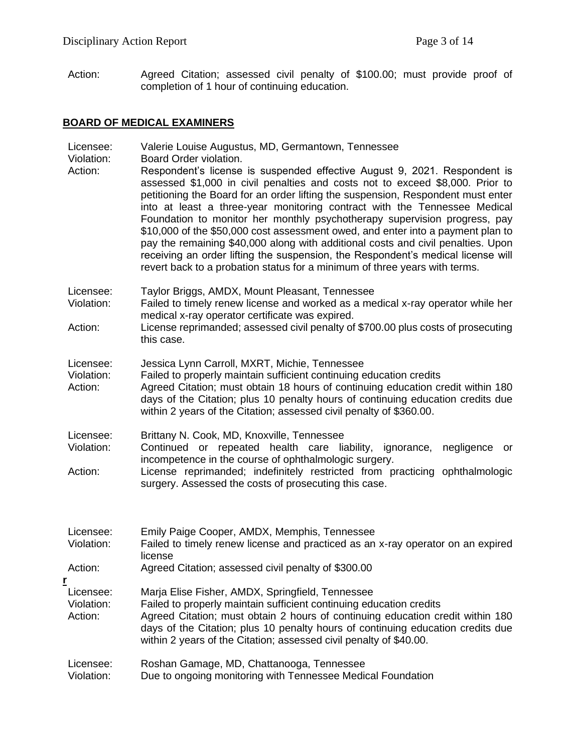Action: Agreed Citation; assessed civil penalty of \$100.00; must provide proof of completion of 1 hour of continuing education.

# **BOARD OF MEDICAL EXAMINERS**

|   | Licensee:<br>Violation:<br>Action: | Valerie Louise Augustus, MD, Germantown, Tennessee<br>Board Order violation.<br>Respondent's license is suspended effective August 9, 2021. Respondent is<br>assessed \$1,000 in civil penalties and costs not to exceed \$8,000. Prior to<br>petitioning the Board for an order lifting the suspension, Respondent must enter<br>into at least a three-year monitoring contract with the Tennessee Medical<br>Foundation to monitor her monthly psychotherapy supervision progress, pay<br>\$10,000 of the \$50,000 cost assessment owed, and enter into a payment plan to<br>pay the remaining \$40,000 along with additional costs and civil penalties. Upon<br>receiving an order lifting the suspension, the Respondent's medical license will<br>revert back to a probation status for a minimum of three years with terms. |
|---|------------------------------------|-----------------------------------------------------------------------------------------------------------------------------------------------------------------------------------------------------------------------------------------------------------------------------------------------------------------------------------------------------------------------------------------------------------------------------------------------------------------------------------------------------------------------------------------------------------------------------------------------------------------------------------------------------------------------------------------------------------------------------------------------------------------------------------------------------------------------------------|
|   | Licensee:<br>Violation:<br>Action: | Taylor Briggs, AMDX, Mount Pleasant, Tennessee<br>Failed to timely renew license and worked as a medical x-ray operator while her<br>medical x-ray operator certificate was expired.<br>License reprimanded; assessed civil penalty of \$700.00 plus costs of prosecuting<br>this case.                                                                                                                                                                                                                                                                                                                                                                                                                                                                                                                                           |
|   | Licensee:<br>Violation:<br>Action: | Jessica Lynn Carroll, MXRT, Michie, Tennessee<br>Failed to properly maintain sufficient continuing education credits<br>Agreed Citation; must obtain 18 hours of continuing education credit within 180<br>days of the Citation; plus 10 penalty hours of continuing education credits due<br>within 2 years of the Citation; assessed civil penalty of \$360.00.                                                                                                                                                                                                                                                                                                                                                                                                                                                                 |
|   | Licensee:<br>Violation:<br>Action: | Brittany N. Cook, MD, Knoxville, Tennessee<br>Continued or repeated health care liability,<br>ignorance,<br>negligence<br>or<br>incompetence in the course of ophthalmologic surgery.<br>License reprimanded; indefinitely restricted from practicing ophthalmologic<br>surgery. Assessed the costs of prosecuting this case.                                                                                                                                                                                                                                                                                                                                                                                                                                                                                                     |
|   | Licensee:<br>Violation:<br>Action: | Emily Paige Cooper, AMDX, Memphis, Tennessee<br>Failed to timely renew license and practiced as an x-ray operator on an expired<br>license<br>Agreed Citation; assessed civil penalty of \$300.00                                                                                                                                                                                                                                                                                                                                                                                                                                                                                                                                                                                                                                 |
| r | Licensee:<br>Violation:<br>Action: | Marja Elise Fisher, AMDX, Springfield, Tennessee<br>Failed to properly maintain sufficient continuing education credits<br>Agreed Citation; must obtain 2 hours of continuing education credit within 180<br>days of the Citation; plus 10 penalty hours of continuing education credits due<br>within 2 years of the Citation; assessed civil penalty of \$40.00.                                                                                                                                                                                                                                                                                                                                                                                                                                                                |
|   | Licensee:<br>Violation:            | Roshan Gamage, MD, Chattanooga, Tennessee<br>Due to ongoing monitoring with Tennessee Medical Foundation                                                                                                                                                                                                                                                                                                                                                                                                                                                                                                                                                                                                                                                                                                                          |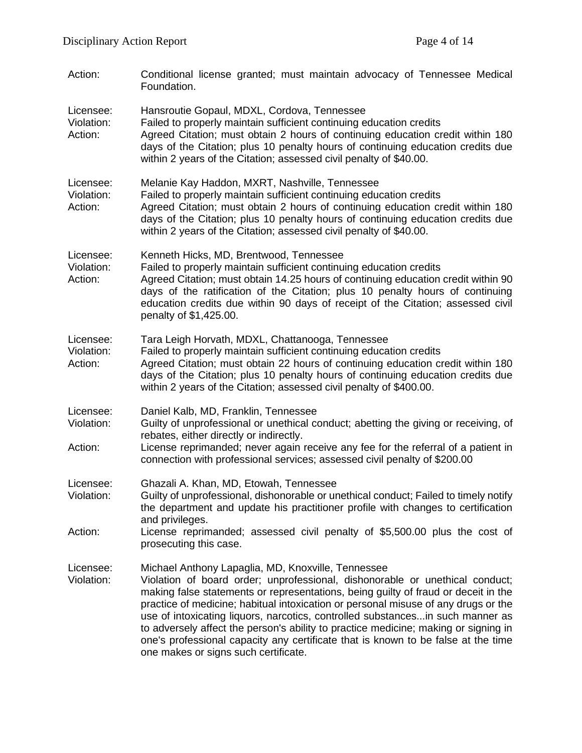| Action:                            | Conditional license granted; must maintain advocacy of Tennessee Medical<br>Foundation.                                                                                                                                                                                                                                                                                                                                                                                                                                                                                                                              |
|------------------------------------|----------------------------------------------------------------------------------------------------------------------------------------------------------------------------------------------------------------------------------------------------------------------------------------------------------------------------------------------------------------------------------------------------------------------------------------------------------------------------------------------------------------------------------------------------------------------------------------------------------------------|
| Licensee:<br>Violation:<br>Action: | Hansroutie Gopaul, MDXL, Cordova, Tennessee<br>Failed to properly maintain sufficient continuing education credits<br>Agreed Citation; must obtain 2 hours of continuing education credit within 180<br>days of the Citation; plus 10 penalty hours of continuing education credits due<br>within 2 years of the Citation; assessed civil penalty of \$40.00.                                                                                                                                                                                                                                                        |
| Licensee:<br>Violation:<br>Action: | Melanie Kay Haddon, MXRT, Nashville, Tennessee<br>Failed to properly maintain sufficient continuing education credits<br>Agreed Citation; must obtain 2 hours of continuing education credit within 180<br>days of the Citation; plus 10 penalty hours of continuing education credits due<br>within 2 years of the Citation; assessed civil penalty of \$40.00.                                                                                                                                                                                                                                                     |
| Licensee:<br>Violation:<br>Action: | Kenneth Hicks, MD, Brentwood, Tennessee<br>Failed to properly maintain sufficient continuing education credits<br>Agreed Citation; must obtain 14.25 hours of continuing education credit within 90<br>days of the ratification of the Citation; plus 10 penalty hours of continuing<br>education credits due within 90 days of receipt of the Citation; assessed civil<br>penalty of \$1,425.00.                                                                                                                                                                                                                    |
| Licensee:<br>Violation:<br>Action: | Tara Leigh Horvath, MDXL, Chattanooga, Tennessee<br>Failed to properly maintain sufficient continuing education credits<br>Agreed Citation; must obtain 22 hours of continuing education credit within 180<br>days of the Citation; plus 10 penalty hours of continuing education credits due<br>within 2 years of the Citation; assessed civil penalty of \$400.00.                                                                                                                                                                                                                                                 |
| Licensee:<br>Violation:<br>Action: | Daniel Kalb, MD, Franklin, Tennessee<br>Guilty of unprofessional or unethical conduct; abetting the giving or receiving, of<br>rebates, either directly or indirectly.<br>License reprimanded; never again receive any fee for the referral of a patient in<br>connection with professional services; assessed civil penalty of \$200.00                                                                                                                                                                                                                                                                             |
| Licensee:<br>Violation:<br>Action: | Ghazali A. Khan, MD, Etowah, Tennessee<br>Guilty of unprofessional, dishonorable or unethical conduct; Failed to timely notify<br>the department and update his practitioner profile with changes to certification<br>and privileges.<br>License reprimanded; assessed civil penalty of \$5,500.00 plus the cost of<br>prosecuting this case.                                                                                                                                                                                                                                                                        |
| Licensee:<br>Violation:            | Michael Anthony Lapaglia, MD, Knoxville, Tennessee<br>Violation of board order; unprofessional, dishonorable or unethical conduct;<br>making false statements or representations, being guilty of fraud or deceit in the<br>practice of medicine; habitual intoxication or personal misuse of any drugs or the<br>use of intoxicating liquors, narcotics, controlled substancesin such manner as<br>to adversely affect the person's ability to practice medicine; making or signing in<br>one's professional capacity any certificate that is known to be false at the time<br>one makes or signs such certificate. |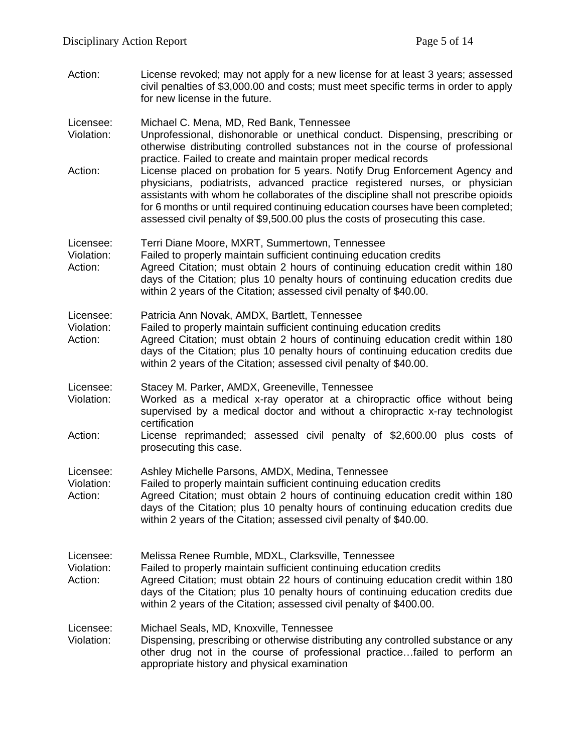Action: License revoked; may not apply for a new license for at least 3 years; assessed civil penalties of \$3,000.00 and costs; must meet specific terms in order to apply for new license in the future.

Licensee: Michael C. Mena, MD, Red Bank, Tennessee

- Violation: Unprofessional, dishonorable or unethical conduct. Dispensing, prescribing or otherwise distributing controlled substances not in the course of professional practice. Failed to create and maintain proper medical records
- Action: License placed on probation for 5 years. Notify Drug Enforcement Agency and physicians, podiatrists, advanced practice registered nurses, or physician assistants with whom he collaborates of the discipline shall not prescribe opioids for 6 months or until required continuing education courses have been completed; assessed civil penalty of \$9,500.00 plus the costs of prosecuting this case.

Licensee: Terri Diane Moore, MXRT, Summertown, Tennessee

- Violation: Failed to properly maintain sufficient continuing education credits Action: Agreed Citation; must obtain 2 hours of continuing education credit within 180
- days of the Citation; plus 10 penalty hours of continuing education credits due within 2 years of the Citation; assessed civil penalty of \$40.00.
- Licensee: Patricia Ann Novak, AMDX, Bartlett, Tennessee
- Violation: Failed to properly maintain sufficient continuing education credits
- Action: Agreed Citation; must obtain 2 hours of continuing education credit within 180 days of the Citation; plus 10 penalty hours of continuing education credits due within 2 years of the Citation; assessed civil penalty of \$40.00.
- Licensee: Stacey M. Parker, AMDX, Greeneville, Tennessee
- Violation: Worked as a medical x-ray operator at a chiropractic office without being supervised by a medical doctor and without a chiropractic x-ray technologist certification
- Action: License reprimanded; assessed civil penalty of \$2,600.00 plus costs of prosecuting this case.
- Licensee: Ashley Michelle Parsons, AMDX, Medina, Tennessee
- Violation: Failed to properly maintain sufficient continuing education credits
- Action: Agreed Citation; must obtain 2 hours of continuing education credit within 180 days of the Citation; plus 10 penalty hours of continuing education credits due within 2 years of the Citation; assessed civil penalty of \$40.00.

Licensee: Melissa Renee Rumble, MDXL, Clarksville, Tennessee

- Violation: Failed to properly maintain sufficient continuing education credits
- Action: Agreed Citation; must obtain 22 hours of continuing education credit within 180 days of the Citation; plus 10 penalty hours of continuing education credits due within 2 years of the Citation; assessed civil penalty of \$400.00.
- Licensee: Michael Seals, MD, Knoxville, Tennessee
- Violation: Dispensing, prescribing or otherwise distributing any controlled substance or any other drug not in the course of professional practice…failed to perform an appropriate history and physical examination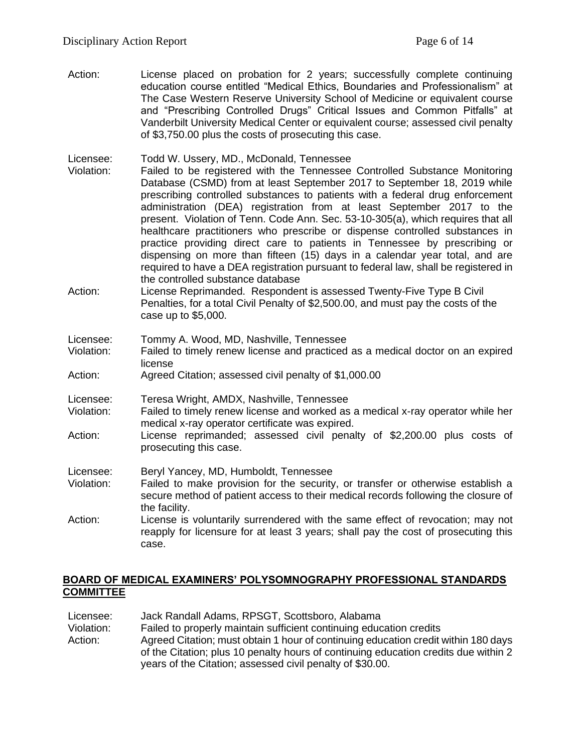Action: License placed on probation for 2 years; successfully complete continuing education course entitled "Medical Ethics, Boundaries and Professionalism" at The Case Western Reserve University School of Medicine or equivalent course and "Prescribing Controlled Drugs" Critical Issues and Common Pitfalls" at Vanderbilt University Medical Center or equivalent course; assessed civil penalty of \$3,750.00 plus the costs of prosecuting this case.

Licensee: Todd W. Ussery, MD., McDonald, Tennessee

- Violation: Failed to be registered with the Tennessee Controlled Substance Monitoring Database (CSMD) from at least September 2017 to September 18, 2019 while prescribing controlled substances to patients with a federal drug enforcement administration (DEA) registration from at least September 2017 to the present. Violation of Tenn. Code Ann. Sec. 53-10-305(a), which requires that all healthcare practitioners who prescribe or dispense controlled substances in practice providing direct care to patients in Tennessee by prescribing or dispensing on more than fifteen (15) days in a calendar year total, and are required to have a DEA registration pursuant to federal law, shall be registered in the controlled substance database
- Action: License Reprimanded. Respondent is assessed Twenty-Five Type B Civil Penalties, for a total Civil Penalty of \$2,500.00, and must pay the costs of the case up to \$5,000.

| Licensee: |  |  |  |  | Tommy A. Wood, MD, Nashville, Tennessee |
|-----------|--|--|--|--|-----------------------------------------|
|-----------|--|--|--|--|-----------------------------------------|

- Violation: Failed to timely renew license and practiced as a medical doctor on an expired license
- Action: Agreed Citation; assessed civil penalty of \$1,000.00
- Licensee: Teresa Wright, AMDX, Nashville, Tennessee
- Violation: Failed to timely renew license and worked as a medical x-ray operator while her medical x-ray operator certificate was expired.
- Action: License reprimanded; assessed civil penalty of \$2,200.00 plus costs of prosecuting this case.
- Licensee: Beryl Yancey, MD, Humboldt, Tennessee
- Violation: Failed to make provision for the security, or transfer or otherwise establish a secure method of patient access to their medical records following the closure of the facility.
- Action: License is voluntarily surrendered with the same effect of revocation; may not reapply for licensure for at least 3 years; shall pay the cost of prosecuting this case.

### **BOARD OF MEDICAL EXAMINERS' POLYSOMNOGRAPHY PROFESSIONAL STANDARDS COMMITTEE**

Licensee: Jack Randall Adams, RPSGT, Scottsboro, Alabama Violation: Failed to properly maintain sufficient continuing education credits Action: Agreed Citation; must obtain 1 hour of continuing education credit within 180 days of the Citation; plus 10 penalty hours of continuing education credits due within 2 years of the Citation; assessed civil penalty of \$30.00.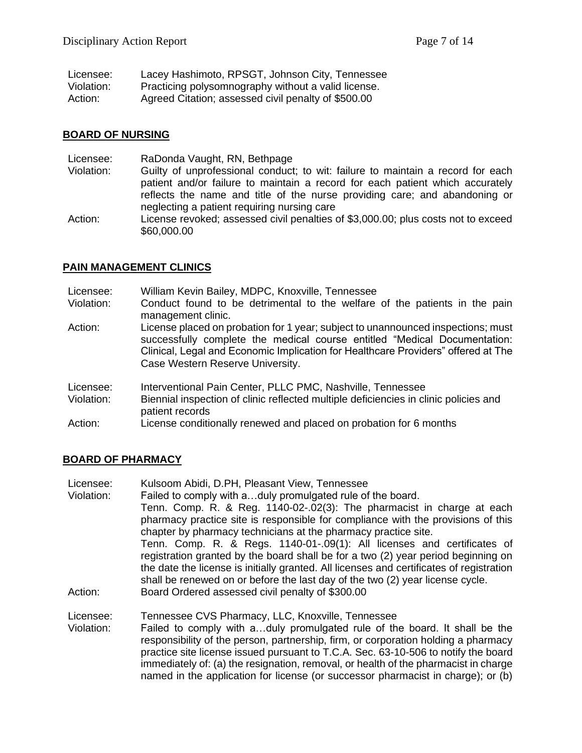| Licensee:  | Lacey Hashimoto, RPSGT, Johnson City, Tennessee     |
|------------|-----------------------------------------------------|
| Violation: | Practicing polysomnography without a valid license. |
| Action:    | Agreed Citation; assessed civil penalty of \$500.00 |

#### **BOARD OF NURSING**

| Licensee:  | RaDonda Vaught, RN, Bethpage                                                      |
|------------|-----------------------------------------------------------------------------------|
| Violation: | Guilty of unprofessional conduct; to wit: failure to maintain a record for each   |
|            | patient and/or failure to maintain a record for each patient which accurately     |
|            | reflects the name and title of the nurse providing care; and abandoning or        |
|            | neglecting a patient requiring nursing care                                       |
| Action:    | License revoked; assessed civil penalties of \$3,000.00; plus costs not to exceed |
|            | \$60,000.00                                                                       |

#### **PAIN MANAGEMENT CLINICS**

Licensee: William Kevin Bailey, MDPC, Knoxville, Tennessee

- Violation: Conduct found to be detrimental to the welfare of the patients in the pain management clinic.
- Action: License placed on probation for 1 year; subject to unannounced inspections; must successfully complete the medical course entitled "Medical Documentation: Clinical, Legal and Economic Implication for Healthcare Providers" offered at The Case Western Reserve University.
- Licensee: Interventional Pain Center, PLLC PMC, Nashville, Tennessee
- Violation: Biennial inspection of clinic reflected multiple deficiencies in clinic policies and patient records
- Action: License conditionally renewed and placed on probation for 6 months

#### **BOARD OF PHARMACY**

- Licensee: Kulsoom Abidi, D.PH, Pleasant View, Tennessee
- Violation: Failed to comply with a…duly promulgated rule of the board.

Tenn. Comp. R. & Reg. 1140-02-.02(3): The pharmacist in charge at each pharmacy practice site is responsible for compliance with the provisions of this chapter by pharmacy technicians at the pharmacy practice site.

Tenn. Comp. R. & Regs. 1140-01-.09(1): All licenses and certificates of registration granted by the board shall be for a two (2) year period beginning on the date the license is initially granted. All licenses and certificates of registration shall be renewed on or before the last day of the two (2) year license cycle.

Action: Board Ordered assessed civil penalty of \$300.00

Licensee: Tennessee CVS Pharmacy, LLC, Knoxville, Tennessee

Violation: Failed to comply with a…duly promulgated rule of the board. It shall be the responsibility of the person, partnership, firm, or corporation holding a pharmacy practice site license issued pursuant to T.C.A. Sec. 63-10-506 to notify the board immediately of: (a) the resignation, removal, or health of the pharmacist in charge named in the application for license (or successor pharmacist in charge); or (b)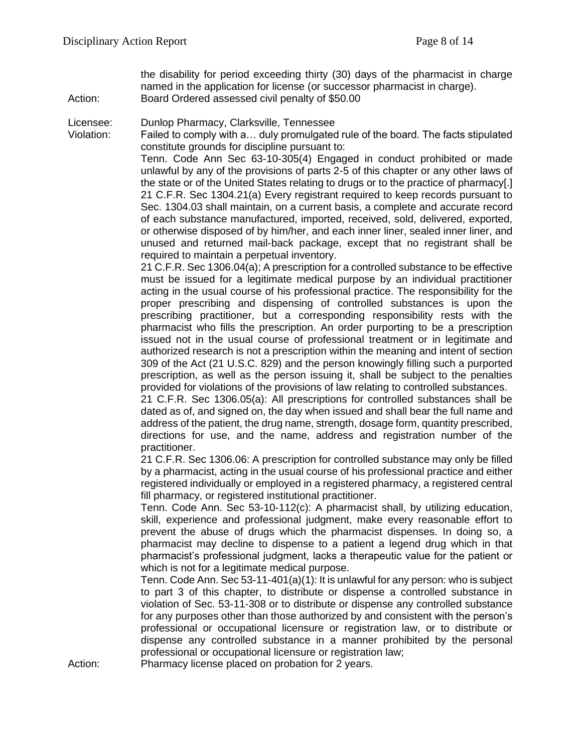the disability for period exceeding thirty (30) days of the pharmacist in charge named in the application for license (or successor pharmacist in charge). Action: Board Ordered assessed civil penalty of \$50.00

Licensee: Dunlop Pharmacy, Clarksville, Tennessee

Violation: Failed to comply with a… duly promulgated rule of the board. The facts stipulated constitute grounds for discipline pursuant to:

Tenn. Code Ann Sec 63-10-305(4) Engaged in conduct prohibited or made unlawful by any of the provisions of parts 2-5 of this chapter or any other laws of the state or of the United States relating to drugs or to the practice of pharmacy[.] 21 C.F.R. Sec 1304.21(a) Every registrant required to keep records pursuant to Sec. 1304.03 shall maintain, on a current basis, a complete and accurate record of each substance manufactured, imported, received, sold, delivered, exported, or otherwise disposed of by him/her, and each inner liner, sealed inner liner, and unused and returned mail-back package, except that no registrant shall be required to maintain a perpetual inventory.

21 C.F.R. Sec 1306.04(a); A prescription for a controlled substance to be effective must be issued for a legitimate medical purpose by an individual practitioner acting in the usual course of his professional practice. The responsibility for the proper prescribing and dispensing of controlled substances is upon the prescribing practitioner, but a corresponding responsibility rests with the pharmacist who fills the prescription. An order purporting to be a prescription issued not in the usual course of professional treatment or in legitimate and authorized research is not a prescription within the meaning and intent of section 309 of the Act (21 U.S.C. 829) and the person knowingly filling such a purported prescription, as well as the person issuing it, shall be subject to the penalties provided for violations of the provisions of law relating to controlled substances.

21 C.F.R. Sec 1306.05(a): All prescriptions for controlled substances shall be dated as of, and signed on, the day when issued and shall bear the full name and address of the patient, the drug name, strength, dosage form, quantity prescribed, directions for use, and the name, address and registration number of the practitioner.

21 C.F.R. Sec 1306.06: A prescription for controlled substance may only be filled by a pharmacist, acting in the usual course of his professional practice and either registered individually or employed in a registered pharmacy, a registered central fill pharmacy, or registered institutional practitioner.

Tenn. Code Ann. Sec 53-10-112(c): A pharmacist shall, by utilizing education, skill, experience and professional judgment, make every reasonable effort to prevent the abuse of drugs which the pharmacist dispenses. In doing so, a pharmacist may decline to dispense to a patient a legend drug which in that pharmacist's professional judgment, lacks a therapeutic value for the patient or which is not for a legitimate medical purpose.

Tenn. Code Ann. Sec 53-11-401(a)(1): It is unlawful for any person: who is subject to part 3 of this chapter, to distribute or dispense a controlled substance in violation of Sec. 53-11-308 or to distribute or dispense any controlled substance for any purposes other than those authorized by and consistent with the person's professional or occupational licensure or registration law, or to distribute or dispense any controlled substance in a manner prohibited by the personal professional or occupational licensure or registration law;

Action: Pharmacy license placed on probation for 2 years.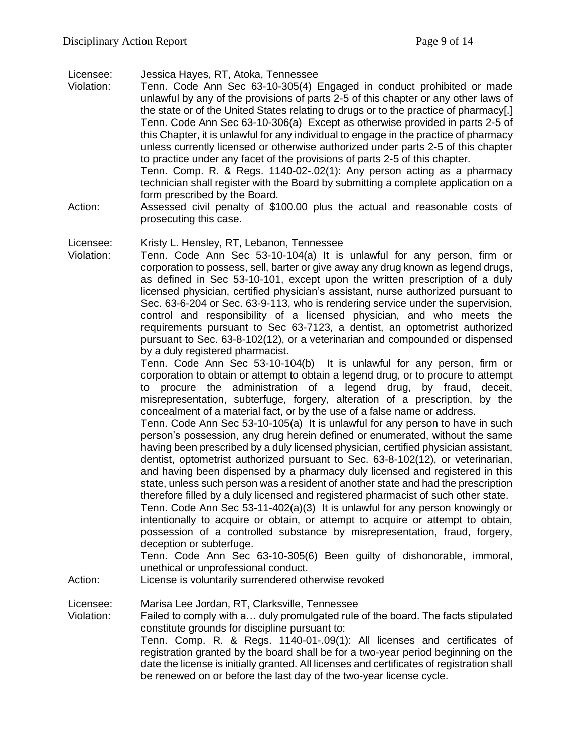Licensee: Jessica Hayes, RT, Atoka, Tennessee

- Violation: Tenn. Code Ann Sec 63-10-305(4) Engaged in conduct prohibited or made unlawful by any of the provisions of parts 2-5 of this chapter or any other laws of the state or of the United States relating to drugs or to the practice of pharmacy[.] Tenn. Code Ann Sec 63-10-306(a) Except as otherwise provided in parts 2-5 of this Chapter, it is unlawful for any individual to engage in the practice of pharmacy unless currently licensed or otherwise authorized under parts 2-5 of this chapter to practice under any facet of the provisions of parts 2-5 of this chapter. Tenn. Comp. R. & Regs. 1140-02-.02(1): Any person acting as a pharmacy technician shall register with the Board by submitting a complete application on a form prescribed by the Board.
- Action: Assessed civil penalty of \$100.00 plus the actual and reasonable costs of prosecuting this case.

Licensee: Kristy L. Hensley, RT, Lebanon, Tennessee

Violation: Tenn. Code Ann Sec 53-10-104(a) It is unlawful for any person, firm or corporation to possess, sell, barter or give away any drug known as legend drugs, as defined in Sec 53-10-101, except upon the written prescription of a duly licensed physician, certified physician's assistant, nurse authorized pursuant to Sec. 63-6-204 or Sec. 63-9-113, who is rendering service under the supervision, control and responsibility of a licensed physician, and who meets the requirements pursuant to Sec 63-7123, a dentist, an optometrist authorized pursuant to Sec. 63-8-102(12), or a veterinarian and compounded or dispensed by a duly registered pharmacist.

> Tenn. Code Ann Sec 53-10-104(b) It is unlawful for any person, firm or corporation to obtain or attempt to obtain a legend drug, or to procure to attempt to procure the administration of a legend drug, by fraud, deceit, misrepresentation, subterfuge, forgery, alteration of a prescription, by the concealment of a material fact, or by the use of a false name or address.

> Tenn. Code Ann Sec 53-10-105(a) It is unlawful for any person to have in such person's possession, any drug herein defined or enumerated, without the same having been prescribed by a duly licensed physician, certified physician assistant, dentist, optometrist authorized pursuant to Sec. 63-8-102(12), or veterinarian, and having been dispensed by a pharmacy duly licensed and registered in this state, unless such person was a resident of another state and had the prescription therefore filled by a duly licensed and registered pharmacist of such other state.

> Tenn. Code Ann Sec 53-11-402(a)(3) It is unlawful for any person knowingly or intentionally to acquire or obtain, or attempt to acquire or attempt to obtain, possession of a controlled substance by misrepresentation, fraud, forgery, deception or subterfuge.

> Tenn. Code Ann Sec 63-10-305(6) Been guilty of dishonorable, immoral, unethical or unprofessional conduct.

Action: License is voluntarily surrendered otherwise revoked

Licensee: Marisa Lee Jordan, RT, Clarksville, Tennessee

Violation: Failed to comply with a… duly promulgated rule of the board. The facts stipulated constitute grounds for discipline pursuant to:

Tenn. Comp. R. & Regs. 1140-01-.09(1): All licenses and certificates of registration granted by the board shall be for a two-year period beginning on the date the license is initially granted. All licenses and certificates of registration shall be renewed on or before the last day of the two-year license cycle.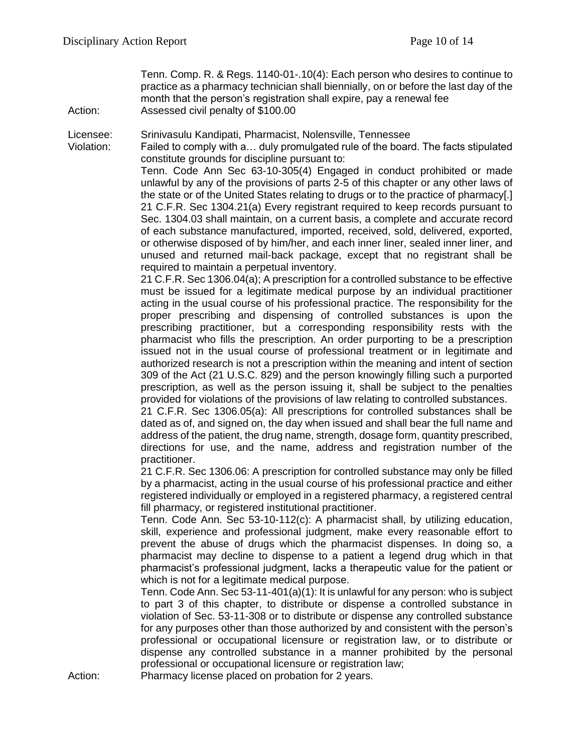Tenn. Comp. R. & Regs. 1140-01-.10(4): Each person who desires to continue to practice as a pharmacy technician shall biennially, on or before the last day of the month that the person's registration shall expire, pay a renewal fee

Action: Assessed civil penalty of \$100.00

Licensee: Srinivasulu Kandipati, Pharmacist, Nolensville, Tennessee

Violation: Failed to comply with a… duly promulgated rule of the board. The facts stipulated constitute grounds for discipline pursuant to:

Tenn. Code Ann Sec 63-10-305(4) Engaged in conduct prohibited or made unlawful by any of the provisions of parts 2-5 of this chapter or any other laws of the state or of the United States relating to drugs or to the practice of pharmacy[.] 21 C.F.R. Sec 1304.21(a) Every registrant required to keep records pursuant to Sec. 1304.03 shall maintain, on a current basis, a complete and accurate record of each substance manufactured, imported, received, sold, delivered, exported, or otherwise disposed of by him/her, and each inner liner, sealed inner liner, and unused and returned mail-back package, except that no registrant shall be required to maintain a perpetual inventory.

21 C.F.R. Sec 1306.04(a); A prescription for a controlled substance to be effective must be issued for a legitimate medical purpose by an individual practitioner acting in the usual course of his professional practice. The responsibility for the proper prescribing and dispensing of controlled substances is upon the prescribing practitioner, but a corresponding responsibility rests with the pharmacist who fills the prescription. An order purporting to be a prescription issued not in the usual course of professional treatment or in legitimate and authorized research is not a prescription within the meaning and intent of section 309 of the Act (21 U.S.C. 829) and the person knowingly filling such a purported prescription, as well as the person issuing it, shall be subject to the penalties provided for violations of the provisions of law relating to controlled substances.

21 C.F.R. Sec 1306.05(a): All prescriptions for controlled substances shall be dated as of, and signed on, the day when issued and shall bear the full name and address of the patient, the drug name, strength, dosage form, quantity prescribed, directions for use, and the name, address and registration number of the practitioner.

21 C.F.R. Sec 1306.06: A prescription for controlled substance may only be filled by a pharmacist, acting in the usual course of his professional practice and either registered individually or employed in a registered pharmacy, a registered central fill pharmacy, or registered institutional practitioner.

Tenn. Code Ann. Sec 53-10-112(c): A pharmacist shall, by utilizing education, skill, experience and professional judgment, make every reasonable effort to prevent the abuse of drugs which the pharmacist dispenses. In doing so, a pharmacist may decline to dispense to a patient a legend drug which in that pharmacist's professional judgment, lacks a therapeutic value for the patient or which is not for a legitimate medical purpose.

Tenn. Code Ann. Sec 53-11-401(a)(1): It is unlawful for any person: who is subject to part 3 of this chapter, to distribute or dispense a controlled substance in violation of Sec. 53-11-308 or to distribute or dispense any controlled substance for any purposes other than those authorized by and consistent with the person's professional or occupational licensure or registration law, or to distribute or dispense any controlled substance in a manner prohibited by the personal professional or occupational licensure or registration law;

Action: Pharmacy license placed on probation for 2 years.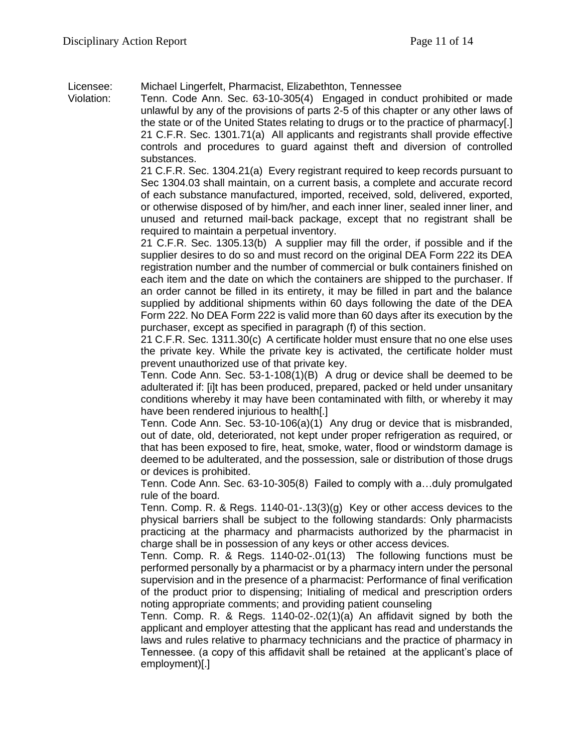Licensee: Michael Lingerfelt, Pharmacist, Elizabethton, Tennessee

Violation: Tenn. Code Ann. Sec. 63-10-305(4) Engaged in conduct prohibited or made unlawful by any of the provisions of parts 2-5 of this chapter or any other laws of the state or of the United States relating to drugs or to the practice of pharmacy[.] 21 C.F.R. Sec. 1301.71(a) All applicants and registrants shall provide effective controls and procedures to guard against theft and diversion of controlled substances.

> 21 C.F.R. Sec. 1304.21(a) Every registrant required to keep records pursuant to Sec 1304.03 shall maintain, on a current basis, a complete and accurate record of each substance manufactured, imported, received, sold, delivered, exported, or otherwise disposed of by him/her, and each inner liner, sealed inner liner, and unused and returned mail-back package, except that no registrant shall be required to maintain a perpetual inventory.

> 21 C.F.R. Sec. 1305.13(b) A supplier may fill the order, if possible and if the supplier desires to do so and must record on the original DEA Form 222 its DEA registration number and the number of commercial or bulk containers finished on each item and the date on which the containers are shipped to the purchaser. If an order cannot be filled in its entirety, it may be filled in part and the balance supplied by additional shipments within 60 days following the date of the DEA Form 222. No DEA Form 222 is valid more than 60 days after its execution by the purchaser, except as specified in paragraph (f) of this section.

> 21 C.F.R. Sec. 1311.30(c) A certificate holder must ensure that no one else uses the private key. While the private key is activated, the certificate holder must prevent unauthorized use of that private key.

> Tenn. Code Ann. Sec. 53-1-108(1)(B) A drug or device shall be deemed to be adulterated if: [i]t has been produced, prepared, packed or held under unsanitary conditions whereby it may have been contaminated with filth, or whereby it may have been rendered injurious to health[.]

> Tenn. Code Ann. Sec. 53-10-106(a)(1) Any drug or device that is misbranded, out of date, old, deteriorated, not kept under proper refrigeration as required, or that has been exposed to fire, heat, smoke, water, flood or windstorm damage is deemed to be adulterated, and the possession, sale or distribution of those drugs or devices is prohibited.

> Tenn. Code Ann. Sec. 63-10-305(8) Failed to comply with a…duly promulgated rule of the board.

> Tenn. Comp. R. & Regs. 1140-01-.13(3)(g) Key or other access devices to the physical barriers shall be subject to the following standards: Only pharmacists practicing at the pharmacy and pharmacists authorized by the pharmacist in charge shall be in possession of any keys or other access devices.

> Tenn. Comp. R. & Regs. 1140-02-.01(13) The following functions must be performed personally by a pharmacist or by a pharmacy intern under the personal supervision and in the presence of a pharmacist: Performance of final verification of the product prior to dispensing; Initialing of medical and prescription orders noting appropriate comments; and providing patient counseling

> Tenn. Comp. R. & Regs. 1140-02-.02(1)(a) An affidavit signed by both the applicant and employer attesting that the applicant has read and understands the laws and rules relative to pharmacy technicians and the practice of pharmacy in Tennessee. (a copy of this affidavit shall be retained at the applicant's place of employment)[.]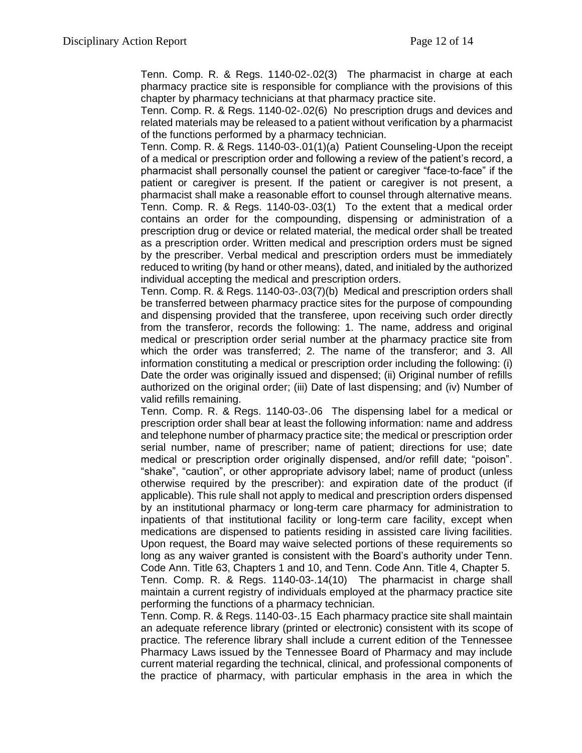Tenn. Comp. R. & Regs. 1140-02-.02(3) The pharmacist in charge at each pharmacy practice site is responsible for compliance with the provisions of this chapter by pharmacy technicians at that pharmacy practice site.

Tenn. Comp. R. & Regs. 1140-02-.02(6) No prescription drugs and devices and related materials may be released to a patient without verification by a pharmacist of the functions performed by a pharmacy technician.

Tenn. Comp. R. & Regs. 1140-03-.01(1)(a) Patient Counseling-Upon the receipt of a medical or prescription order and following a review of the patient's record, a pharmacist shall personally counsel the patient or caregiver "face-to-face" if the patient or caregiver is present. If the patient or caregiver is not present, a pharmacist shall make a reasonable effort to counsel through alternative means. Tenn. Comp. R. & Regs. 1140-03-.03(1) To the extent that a medical order contains an order for the compounding, dispensing or administration of a prescription drug or device or related material, the medical order shall be treated as a prescription order. Written medical and prescription orders must be signed by the prescriber. Verbal medical and prescription orders must be immediately reduced to writing (by hand or other means), dated, and initialed by the authorized individual accepting the medical and prescription orders.

Tenn. Comp. R. & Regs. 1140-03-.03(7)(b) Medical and prescription orders shall be transferred between pharmacy practice sites for the purpose of compounding and dispensing provided that the transferee, upon receiving such order directly from the transferor, records the following: 1. The name, address and original medical or prescription order serial number at the pharmacy practice site from which the order was transferred; 2. The name of the transferor; and 3. All information constituting a medical or prescription order including the following: (i) Date the order was originally issued and dispensed; (ii) Original number of refills authorized on the original order; (iii) Date of last dispensing; and (iv) Number of valid refills remaining.

Tenn. Comp. R. & Regs. 1140-03-.06 The dispensing label for a medical or prescription order shall bear at least the following information: name and address and telephone number of pharmacy practice site; the medical or prescription order serial number, name of prescriber; name of patient; directions for use; date medical or prescription order originally dispensed, and/or refill date; "poison". "shake", "caution", or other appropriate advisory label; name of product (unless otherwise required by the prescriber): and expiration date of the product (if applicable). This rule shall not apply to medical and prescription orders dispensed by an institutional pharmacy or long-term care pharmacy for administration to inpatients of that institutional facility or long-term care facility, except when medications are dispensed to patients residing in assisted care living facilities. Upon request, the Board may waive selected portions of these requirements so long as any waiver granted is consistent with the Board's authority under Tenn. Code Ann. Title 63, Chapters 1 and 10, and Tenn. Code Ann. Title 4, Chapter 5. Tenn. Comp. R. & Regs. 1140-03-.14(10) The pharmacist in charge shall maintain a current registry of individuals employed at the pharmacy practice site performing the functions of a pharmacy technician.

Tenn. Comp. R. & Regs. 1140-03-.15 Each pharmacy practice site shall maintain an adequate reference library (printed or electronic) consistent with its scope of practice. The reference library shall include a current edition of the Tennessee Pharmacy Laws issued by the Tennessee Board of Pharmacy and may include current material regarding the technical, clinical, and professional components of the practice of pharmacy, with particular emphasis in the area in which the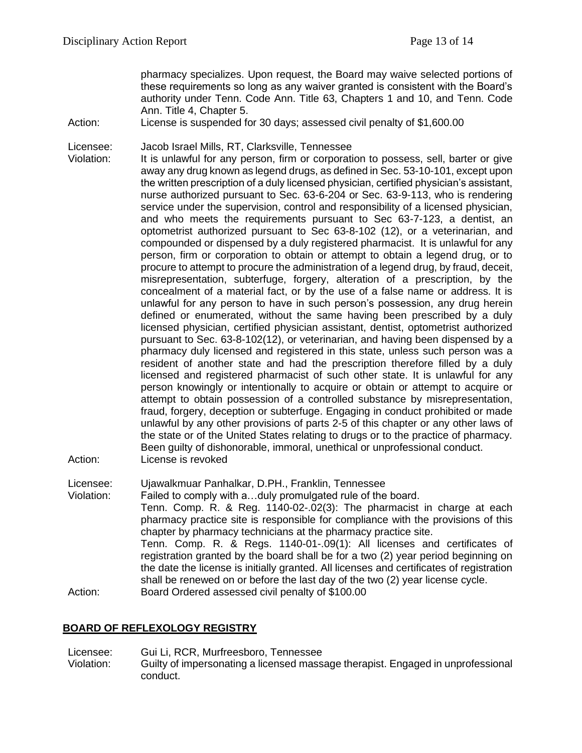pharmacy specializes. Upon request, the Board may waive selected portions of these requirements so long as any waiver granted is consistent with the Board's authority under Tenn. Code Ann. Title 63, Chapters 1 and 10, and Tenn. Code Ann. Title 4, Chapter 5.

Action: License is suspended for 30 days; assessed civil penalty of \$1,600.00

Licensee: Jacob Israel Mills, RT, Clarksville, Tennessee

Violation: It is unlawful for any person, firm or corporation to possess, sell, barter or give away any drug known as legend drugs, as defined in Sec. 53-10-101, except upon the written prescription of a duly licensed physician, certified physician's assistant, nurse authorized pursuant to Sec. 63-6-204 or Sec. 63-9-113, who is rendering service under the supervision, control and responsibility of a licensed physician, and who meets the requirements pursuant to Sec 63-7-123, a dentist, an optometrist authorized pursuant to Sec 63-8-102 (12), or a veterinarian, and compounded or dispensed by a duly registered pharmacist. It is unlawful for any person, firm or corporation to obtain or attempt to obtain a legend drug, or to procure to attempt to procure the administration of a legend drug, by fraud, deceit, misrepresentation, subterfuge, forgery, alteration of a prescription, by the concealment of a material fact, or by the use of a false name or address. It is unlawful for any person to have in such person's possession, any drug herein defined or enumerated, without the same having been prescribed by a duly licensed physician, certified physician assistant, dentist, optometrist authorized pursuant to Sec. 63-8-102(12), or veterinarian, and having been dispensed by a pharmacy duly licensed and registered in this state, unless such person was a resident of another state and had the prescription therefore filled by a duly licensed and registered pharmacist of such other state. It is unlawful for any person knowingly or intentionally to acquire or obtain or attempt to acquire or attempt to obtain possession of a controlled substance by misrepresentation, fraud, forgery, deception or subterfuge. Engaging in conduct prohibited or made unlawful by any other provisions of parts 2-5 of this chapter or any other laws of the state or of the United States relating to drugs or to the practice of pharmacy. Been guilty of dishonorable, immoral, unethical or unprofessional conduct. Action: License is revoked

Licensee: Ujawalkmuar Panhalkar, D.PH., Franklin, Tennessee

Violation: Failed to comply with a…duly promulgated rule of the board. Tenn. Comp. R. & Reg. 1140-02-.02(3): The pharmacist in charge at each pharmacy practice site is responsible for compliance with the provisions of this chapter by pharmacy technicians at the pharmacy practice site. Tenn. Comp. R. & Regs. 1140-01-.09(1): All licenses and certificates of registration granted by the board shall be for a two (2) year period beginning on the date the license is initially granted. All licenses and certificates of registration shall be renewed on or before the last day of the two (2) year license cycle. Action: Board Ordered assessed civil penalty of \$100.00

#### **BOARD OF REFLEXOLOGY REGISTRY**

Licensee: Gui Li, RCR, Murfreesboro, Tennessee Violation: Guilty of impersonating a licensed massage therapist. Engaged in unprofessional conduct.